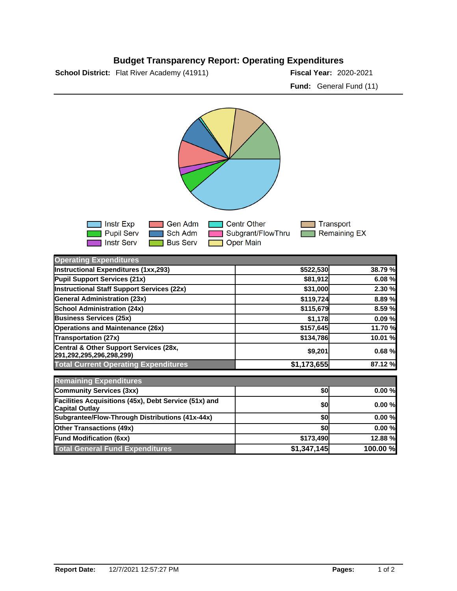## **Budget Transparency Report: Operating Expenditures**

**School District:** Flat River Academy (41911) **2020-2021 Fiscal Year:** 2020-2021

**Fund:** General Fund (11)



| <b>Operating Expenditures</b>                                                  |             |          |
|--------------------------------------------------------------------------------|-------------|----------|
| Instructional Expenditures (1xx,293)                                           | \$522,530   | 38.79 %  |
| Pupil Support Services (21x)                                                   | \$81,912    | 6.08%    |
| <b>Instructional Staff Support Services (22x)</b>                              | \$31,000    | 2.30 %   |
| <b>General Administration (23x)</b>                                            | \$119,724   | 8.89 %   |
| <b>School Administration (24x)</b>                                             | \$115,679   | 8.59 %   |
| <b>Business Services (25x)</b>                                                 | \$1,178     | 0.09%    |
| <b>Operations and Maintenance (26x)</b>                                        | \$157,645   | 11.70 %  |
| <b>Transportation (27x)</b>                                                    | \$134,786   | 10.01 %  |
| Central & Other Support Services (28x,<br>291,292,295,296,298,299)             | \$9,201     | 0.68%    |
| <b>Total Current Operating Expenditures</b>                                    | \$1,173,655 | 87.12 %  |
| <b>Remaining Expenditures</b>                                                  |             |          |
| Community Services (3xx)                                                       | \$0         | 0.00%    |
| Facilities Acquisitions (45x), Debt Service (51x) and<br><b>Capital Outlay</b> | \$0         | 0.00%    |
| Subgrantee/Flow-Through Distributions (41x-44x)                                | \$0         | 0.00%    |
| <b>Other Transactions (49x)</b>                                                | \$0         | 0.00%    |
| <b>Fund Modification (6xx)</b>                                                 | \$173,490   | 12.88 %  |
| <b>Total General Fund Expenditures</b>                                         | \$1,347,145 | 100.00 % |